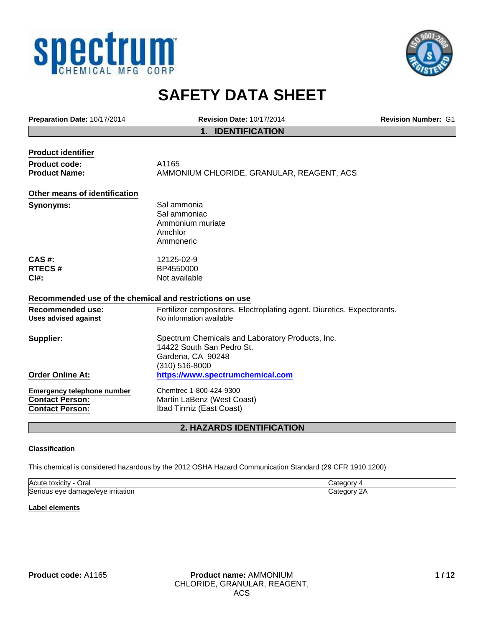



# **SAFETY DATA SHEET**

| Preparation Date: 10/17/2014                                                          | <b>Revision Date: 10/17/2014</b>                                                                                     | <b>Revision Number: G1</b> |
|---------------------------------------------------------------------------------------|----------------------------------------------------------------------------------------------------------------------|----------------------------|
|                                                                                       | <b>IDENTIFICATION</b><br>1.                                                                                          |                            |
| <b>Product identifier</b>                                                             |                                                                                                                      |                            |
| <b>Product code:</b>                                                                  | A1165                                                                                                                |                            |
| <b>Product Name:</b>                                                                  | AMMONIUM CHLORIDE, GRANULAR, REAGENT, ACS                                                                            |                            |
| Other means of identification                                                         |                                                                                                                      |                            |
| Synonyms:                                                                             | Sal ammonia<br>Sal ammoniac<br>Ammonium muriate<br>Amchlor<br>Ammoneric                                              |                            |
| CAS#:<br><b>RTECS#</b><br>CI#:                                                        | 12125-02-9<br>BP4550000<br>Not available                                                                             |                            |
| Recommended use of the chemical and restrictions on use                               |                                                                                                                      |                            |
| <b>Recommended use:</b><br><b>Uses advised against</b>                                | Fertilizer compositons. Electroplating agent. Diuretics. Expectorants.<br>No information available                   |                            |
| Supplier:                                                                             | Spectrum Chemicals and Laboratory Products, Inc.<br>14422 South San Pedro St.<br>Gardena, CA 90248<br>(310) 516-8000 |                            |
| <b>Order Online At:</b>                                                               | https://www.spectrumchemical.com                                                                                     |                            |
| <b>Emergency telephone number</b><br><b>Contact Person:</b><br><b>Contact Person:</b> | Chemtrec 1-800-424-9300<br>Martin LaBenz (West Coast)<br>Ibad Tirmiz (East Coast)                                    |                            |

# **2. HAZARDS IDENTIFICATION**

#### **Classification**

This chemical is considered hazardous by the 2012 OSHA Hazard Communication Standard (29 CFR 1910.1200)

| Acute<br>⊃ral<br>toxicity                                                  | п    |
|----------------------------------------------------------------------------|------|
| Seri<br>max<br><u>irritation</u><br>۱۵۱٬۴<br>eve<br>ามร<br>าลดเ<br>Jdl<br> | າເາກ |

#### **Label elements**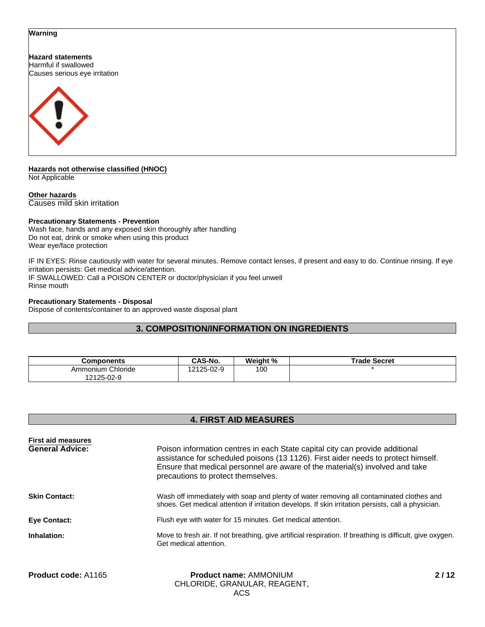#### **Warning**

**Hazard statements** Harmful if swallowed Causes serious eye irritation



**Hazards not otherwise classified (HNOC)** Not Applicable

**Other hazards** Causes mild skin irritation

#### **Precautionary Statements - Prevention**

Wash face, hands and any exposed skin thoroughly after handling Do not eat, drink or smoke when using this product Wear eye/face protection

IF IN EYES: Rinse cautiously with water for several minutes. Remove contact lenses, if present and easy to do. Continue rinsing. If eye irritation persists: Get medical advice/attention. IF SWALLOWED: Call a POISON CENTER or doctor/physician if you feel unwell Rinse mouth

#### **Precautionary Statements - Disposal**

Dispose of contents/container to an approved waste disposal plant

# **3. COMPOSITION/INFORMATION ON INGREDIENTS**

| Components                         | CAS-No.    | Weight % | Trade Secret |
|------------------------------------|------------|----------|--------------|
| Chloride<br>Ammonium<br>12125-02-9 | 12125-02-9 | 100      |              |

# **4. FIRST AID MEASURES**

| <b>First aid measures</b> |                                                                                                                                                                                                                                                                                         |
|---------------------------|-----------------------------------------------------------------------------------------------------------------------------------------------------------------------------------------------------------------------------------------------------------------------------------------|
| <b>General Advice:</b>    | Poison information centres in each State capital city can provide additional<br>assistance for scheduled poisons (13 1126). First aider needs to protect himself.<br>Ensure that medical personnel are aware of the material(s) involved and take<br>precautions to protect themselves. |
| <b>Skin Contact:</b>      | Wash off immediately with soap and plenty of water removing all contaminated clothes and<br>shoes. Get medical attention if irritation develops. If skin irritation persists, call a physician.                                                                                         |
| <b>Eve Contact:</b>       | Flush eye with water for 15 minutes. Get medical attention.                                                                                                                                                                                                                             |
| Inhalation:               | Move to fresh air. If not breathing, give artificial respiration. If breathing is difficult, give oxygen.<br>Get medical attention.                                                                                                                                                     |
|                           |                                                                                                                                                                                                                                                                                         |

| <b>Product code: A1165</b> | <b>Product name: AMMONIUM</b> |
|----------------------------|-------------------------------|
|                            | CHLORIDE, GRANULAR, REAGENT.  |
|                            | ACS                           |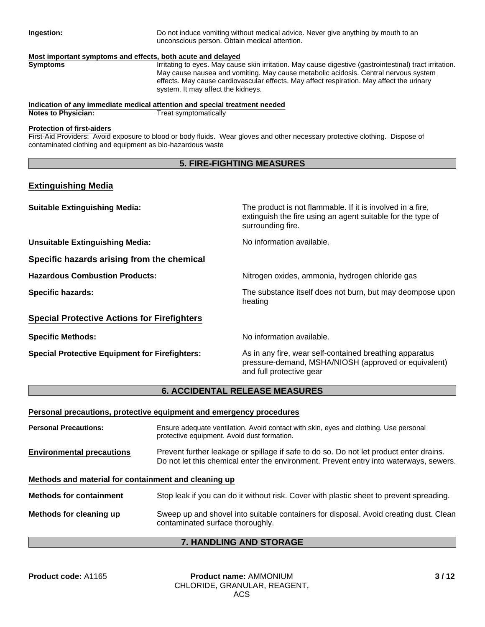**Ingestion:** Do not induce vomiting without medical advice. Never give anything by mouth to an unconscious person. Obtain medical attention.

#### **Most important symptoms and effects, both acute and delayed**

**Symptoms** Irritating to eyes. May cause skin irritation. May cause digestive (gastrointestinal) tract irritation. May cause nausea and vomiting. May cause metabolic acidosis. Central nervous system effects. May cause cardiovascular effects. May affect respiration. May affect the urinary system. It may affect the kidneys.

# **Indication of any immediate medical attention and special treatment needed**

**Notes to Physician:** 

#### **Protection of first-aiders**

First-Aid Providers: Avoid exposure to blood or body fluids. Wear gloves and other necessary protective clothing. Dispose of contaminated clothing and equipment as bio-hazardous waste

# **5. FIRE-FIGHTING MEASURES**

# **Extinguishing Media**

| <b>Suitable Extinguishing Media:</b>                  | The product is not flammable. If it is involved in a fire,<br>extinguish the fire using an agent suitable for the type of<br>surrounding fire. |
|-------------------------------------------------------|------------------------------------------------------------------------------------------------------------------------------------------------|
| <b>Unsuitable Extinguishing Media:</b>                | No information available.                                                                                                                      |
| Specific hazards arising from the chemical            |                                                                                                                                                |
| <b>Hazardous Combustion Products:</b>                 | Nitrogen oxides, ammonia, hydrogen chloride gas                                                                                                |
| <b>Specific hazards:</b>                              | The substance itself does not burn, but may deompose upon<br>heating                                                                           |
| <b>Special Protective Actions for Firefighters</b>    |                                                                                                                                                |
| <b>Specific Methods:</b>                              | No information available.                                                                                                                      |
| <b>Special Protective Equipment for Firefighters:</b> | As in any fire, wear self-contained breathing apparatus<br>pressure-demand, MSHA/NIOSH (approved or equivalent)<br>and full protective gear    |

# **6. ACCIDENTAL RELEASE MEASURES**

#### **Personal precautions, protective equipment and emergency procedures**

**Personal Precautions:** Ensure adequate ventilation. Avoid contact with skin, eyes and clothing. Use personal protective equipment. Avoid dust formation. **Environmental precautions** Prevent further leakage or spillage if safe to do so. Do not let product enter drains.

# Do not let this chemical enter the environment. Prevent entry into waterways, sewers.

# **Methods and material for containment and cleaning up**

| <b>Methods for containment</b> | Stop leak if you can do it without risk. Cover with plastic sheet to prevent spreading.                                   |
|--------------------------------|---------------------------------------------------------------------------------------------------------------------------|
| Methods for cleaning up        | Sweep up and shovel into suitable containers for disposal. Avoid creating dust. Clean<br>contaminated surface thoroughly. |

# **7. HANDLING AND STORAGE**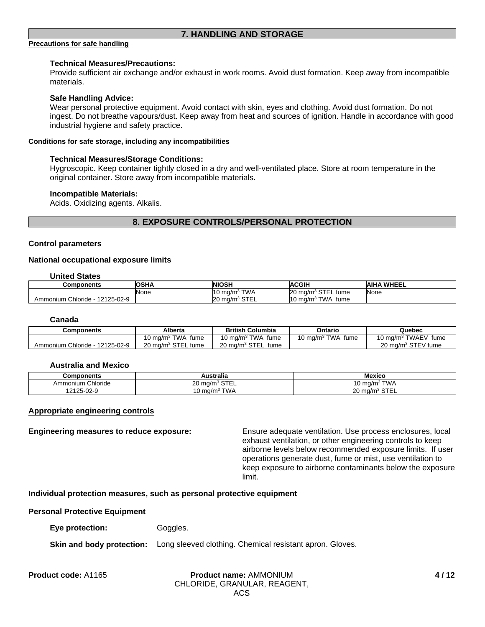# **7. HANDLING AND STORAGE**

#### **Precautions for safe handling**

#### **Technical Measures/Precautions:**

Provide sufficient air exchange and/or exhaust in work rooms. Avoid dust formation. Keep away from incompatible materials.

#### **Safe Handling Advice:**

Wear personal protective equipment. Avoid contact with skin, eyes and clothing. Avoid dust formation. Do not ingest. Do not breathe vapours/dust. Keep away from heat and sources of ignition. Handle in accordance with good industrial hygiene and safety practice.

#### **Conditions for safe storage, including any incompatibilities**

#### **Technical Measures/Storage Conditions:**

Hygroscopic. Keep container tightly closed in a dry and well-ventilated place. Store at room temperature in the original container. Store away from incompatible materials.

#### **Incompatible Materials:**

Acids. Oxidizing agents. Alkalis.

# **8. EXPOSURE CONTROLS/PERSONAL PROTECTION**

#### **Control parameters**

#### **National occupational exposure limits**

#### **United States**

| Components                      | <b>OSHA</b> | <b>NIOSH</b>                                              | <b>ACGIH</b>                            | <b>AIHA WHEEL</b> |
|---------------------------------|-------------|-----------------------------------------------------------|-----------------------------------------|-------------------|
|                                 | None        | `TWA<br>$10 \text{ ma/m}^3$                               | STEL fume<br>$20 \text{ ma/m}^3$        | None              |
| 12125-02-9<br>Ammonium Chloride |             | <b>STEI</b><br><b>20</b><br>, ma/m <sup>3</sup><br>∟∟ ا ت | <b>TWA</b><br>$10 \text{ ma/m}$<br>fume |                   |

#### **Canada**

| Components                     | Alberta                                         | <b>British Columbia</b>               | Ontario              | Quebec                          |
|--------------------------------|-------------------------------------------------|---------------------------------------|----------------------|---------------------------------|
|                                | <sup>3</sup> TWA<br>$10 \text{ ma/m}$ °<br>fume | <sup>3</sup> TWA fume<br>10 ma/m $^3$ | 10 mg/m $3$ TWA fume | 10 mg/m <sup>3</sup> TWAEV fume |
| Ammonium Chloride - 12125-02-9 | 20 mg/m <sup>3</sup> STEL fume                  | 20 ma/m <sup>3</sup> STEL<br>fume     |                      | 20 mg/m <sup>3</sup> STEV fume  |

#### **Australia and Mexico**

| Components        | Australia                                                   | <b>Mexico</b>                                      |
|-------------------|-------------------------------------------------------------|----------------------------------------------------|
| Ammonium Chloride | $CT^{\prime}$<br>nn.<br>J ma/m <sup>3</sup><br>SIEL<br>∠∪ ⊓ | ` TWA<br>$\sim$<br>$10 \text{ ma/m}^3$             |
| 12125-02-9        | `TWA<br>.∪ mɑ/m <sup>.∗</sup>                               | $\sim$ $\sim$ $\sim$<br>$20 \text{ ma/m}^3$<br>--- |

#### **Appropriate engineering controls**

**Engineering measures to reduce exposure:** Ensure adequate ventilation. Use process enclosures, local exhaust ventilation, or other engineering controls to keep airborne levels below recommended exposure limits. If user operations generate dust, fume or mist, use ventilation to keep exposure to airborne contaminants below the exposure limit.

#### **Individual protection measures, such as personal protective equipment**

#### **Personal Protective Equipment**

**Eye protection:** Goggles.

#### **Skin and body protection:** Long sleeved clothing. Chemical resistant apron. Gloves.

#### **Product name:** AMMONIUM **Product code:** A1165 **4 / 12**CHLORIDE, GRANULAR, REAGENT, ACS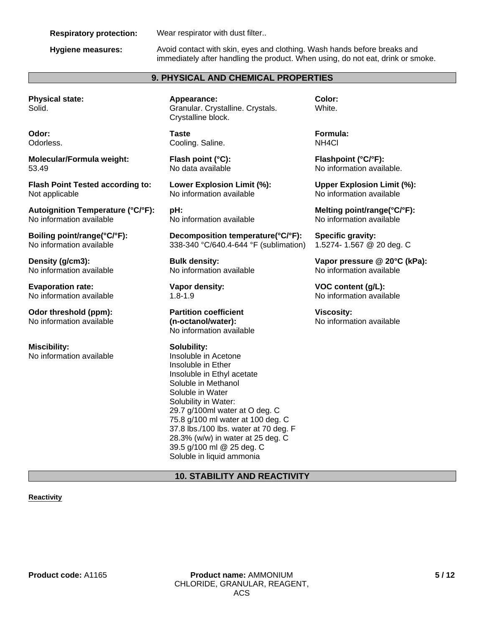#### **Respiratory protection:** Wear respirator with dust filter..

**Hygiene measures:** Avoid contact with skin, eyes and clothing. Wash hands before breaks and immediately after handling the product. When using, do not eat, drink or smoke.

# **9. PHYSICAL AND CHEMICAL PROPERTIES**

**Physical state:** Solid.

**Odor:** Odorless.

**Molecular/Formula weight:** 53.49

**Flash Point Tested according to:** Not applicable

**Autoignition Temperature (°C/°F):** No information available

**Boiling point/range(°C/°F):** No information available

**Density (g/cm3):** No information available

**Evaporation rate:** No information available

**Odor threshold (ppm):** No information available

**Miscibility:** No information available **Appearance:** Granular. Crystalline. Crystals. Crystalline block.

**Taste** Cooling. Saline.

**Flash point (°C):** No data available

**Lower Explosion Limit (%):** No information available

**pH:** No information available

**Decomposition temperature(°C/°F):** 338-340 °C/640.4-644 °F (sublimation)

**Bulk density:** No information available

**Vapor density:** 1.8-1.9

**Partition coefficient (n-octanol/water):** No information available

**Solubility:** Insoluble in Acetone Insoluble in Ether Insoluble in Ethyl acetate Soluble in Methanol Soluble in Water Solubility in Water: 29.7 g/100ml water at O deg. C 75.8 g/100 ml water at 100 deg. C 37.8 lbs./100 lbs. water at 70 deg. F 28.3% (w/w) in water at 25 deg. C 39.5 g/100 ml @ 25 deg. C Soluble in liquid ammonia

**Color:** White.

**Formula:** NH4Cl

**Flashpoint (°C/°F):** No information available.

**Upper Explosion Limit (%):** No information available

**Melting point/range(°C/°F):** No information available

**Specific gravity:** 1.5274- 1.567 @ 20 deg. C

**Vapor pressure @ 20°C (kPa):** No information available

**VOC content (g/L):** No information available

**Viscosity:** No information available

# **10. STABILITY AND REACTIVITY**

#### **Reactivity**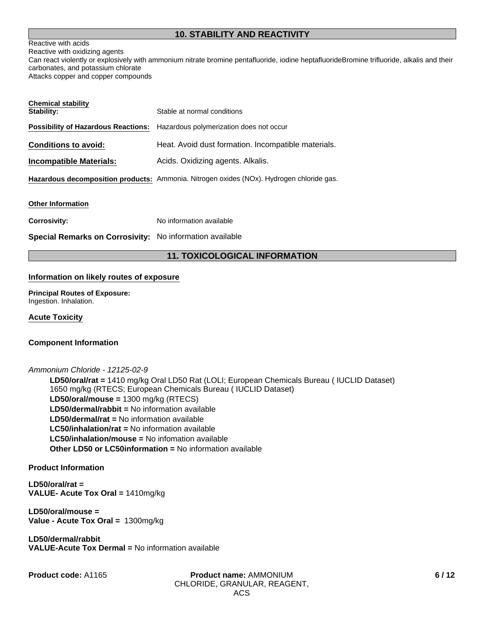# **10. STABILITY AND REACTIVITY**

# Reactive with acids

Reactive with oxidizing agents Can react violently or explosively with ammonium nitrate bromine pentafluoride, iodine heptafluorideBromine trifluoride, alkalis and their carbonates, and potassium chlorate Attacks copper and copper compounds

| <b>Chemical stability</b><br>Stability: | Stable at normal conditions                                                              |
|-----------------------------------------|------------------------------------------------------------------------------------------|
|                                         | <b>Possibility of Hazardous Reactions:</b> Hazardous polymerization does not occur       |
| <b>Conditions to avoid:</b>             | Heat. Avoid dust formation. Incompatible materials.                                      |
| <b>Incompatible Materials:</b>          | Acids. Oxidizing agents. Alkalis.                                                        |
|                                         | Hazardous decomposition products: Ammonia. Nitrogen oxides (NOx). Hydrogen chloride gas. |
| <b>Other Information</b>                |                                                                                          |
| <b>Corrosivity:</b>                     | No information available                                                                 |

**Special Remarks on Corrosivity:** No information available

# **11. TOXICOLOGICAL INFORMATION**

#### **Information on likely routes of exposure**

**Principal Routes of Exposure:** Ingestion. Inhalation.

### **Acute Toxicity**

#### **Component Information**

*Ammonium Chloride - 12125-02-9*

**LC50/inhalation/rat =** No information available **LC50/inhalation/mouse =** No infomation available **LD50/oral/mouse =** 1300 mg/kg (RTECS) **Other LD50 or LC50information =** No information available **LD50/dermal/rabbit =** No information available **LD50/oral/rat =** 1410 mg/kg Oral LD50 Rat (LOLI; European Chemicals Bureau ( IUCLID Dataset) 1650 mg/kg (RTECS; European Chemicals Bureau ( IUCLID Dataset) **LD50/dermal/rat =** No information available

**Product Information**

**LD50/oral/rat = VALUE- Acute Tox Oral =** 1410mg/kg

**LD50/oral/mouse = Value - Acute Tox Oral =** 1300mg/kg

**LD50/dermal/rabbit VALUE-Acute Tox Dermal =** No information available

**Product code:** A1165 **Product name:** AMMONIUM CHLORIDE, GRANULAR, REAGENT, ACS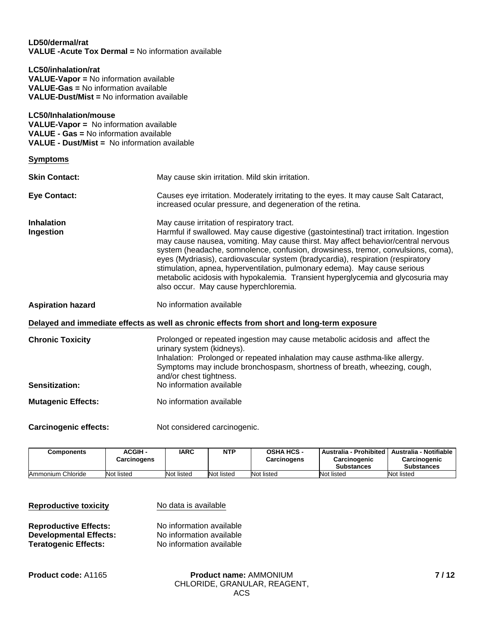### **LD50/dermal/rat VALUE -Acute Tox Dermal =** No information available

**LC50/inhalation/rat VALUE-Vapor =** No information available **VALUE-Gas =** No information available **VALUE-Dust/Mist =** No information available

**LC50/Inhalation/mouse VALUE-Vapor =** No information available **VALUE - Gas =** No information available **VALUE - Dust/Mist =** No information available

**Symptoms**

| <b>Skin Contact:</b>                             | May cause skin irritation. Mild skin irritation.                                                                                                                                                                                                                                                                                                                                                                                                                                                                                                                                                           |
|--------------------------------------------------|------------------------------------------------------------------------------------------------------------------------------------------------------------------------------------------------------------------------------------------------------------------------------------------------------------------------------------------------------------------------------------------------------------------------------------------------------------------------------------------------------------------------------------------------------------------------------------------------------------|
| <b>Eye Contact:</b>                              | Causes eye irritation. Moderately irritating to the eyes. It may cause Salt Cataract,<br>increased ocular pressure, and degeneration of the retina.                                                                                                                                                                                                                                                                                                                                                                                                                                                        |
| <b>Inhalation</b><br>Ingestion                   | May cause irritation of respiratory tract.<br>Harmful if swallowed. May cause digestive (gastointestinal) tract irritation. Ingestion<br>may cause nausea, vomiting. May cause thirst. May affect behavior/central nervous<br>system (headache, somnolence, confusion, drowsiness, tremor, convulsions, coma),<br>eyes (Mydriasis), cardiovascular system (bradycardia), respiration (respiratory<br>stimulation, apnea, hyperventilation, pulmonary edema). May cause serious<br>metabolic acidosis with hypokalemia. Transient hyperglycemia and glycosuria may<br>also occur. May cause hyperchloremia. |
| <b>Aspiration hazard</b>                         | No information available                                                                                                                                                                                                                                                                                                                                                                                                                                                                                                                                                                                   |
|                                                  | Delayed and immediate effects as well as chronic effects from short and long-term exposure                                                                                                                                                                                                                                                                                                                                                                                                                                                                                                                 |
| <b>Chronic Toxicity</b><br><b>Sensitization:</b> | Prolonged or repeated ingestion may cause metabolic acidosis and affect the<br>urinary system (kidneys).<br>Inhalation: Prolonged or repeated inhalation may cause asthma-like allergy.<br>Symptoms may include bronchospasm, shortness of breath, wheezing, cough,<br>and/or chest tightness.<br>No information available                                                                                                                                                                                                                                                                                 |
| <b>Mutagenic Effects:</b>                        | No information available                                                                                                                                                                                                                                                                                                                                                                                                                                                                                                                                                                                   |

Carcinogenic effects: Not considered carcinogenic.

| Components        | <b>ACGIH -</b><br>Carcinogens | <b>IARC</b> | NTP        | <b>OSHA HCS -</b><br><b>Carcinogens</b> | Australia - Prohibited   Australia - Notifiable  <br>Carcinogenic<br><b>Substances</b> | <b>Carcinogenic</b><br><b>Substances</b> |
|-------------------|-------------------------------|-------------|------------|-----------------------------------------|----------------------------------------------------------------------------------------|------------------------------------------|
| Ammonium Chloride | Not listed                    | Not listed  | Not listed | Not listed                              | Not listed                                                                             | Not listed                               |

| <b>Reproductive toxicity</b>  | No data is available     |  |  |
|-------------------------------|--------------------------|--|--|
| <b>Reproductive Effects:</b>  | No information available |  |  |
| <b>Developmental Effects:</b> | No information available |  |  |
| <b>Teratogenic Effects:</b>   | No information available |  |  |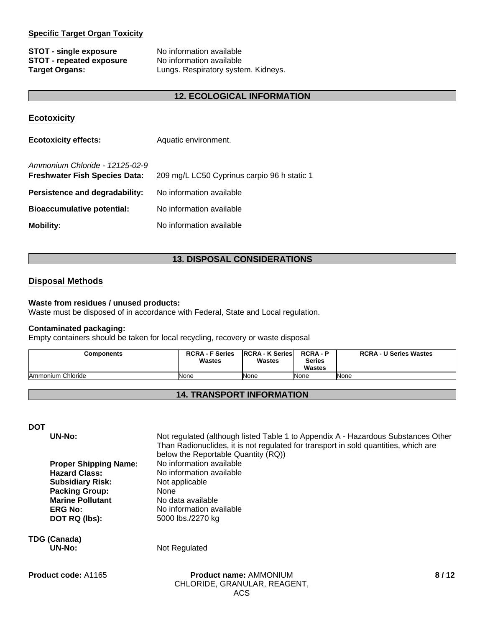## **Specific Target Organ Toxicity**

**STOT - single exposure** No information available **STOT - repeated exposure** No information available

**Target Organs:** Lungs. Respiratory system. Kidneys.

# **12. ECOLOGICAL INFORMATION**

| <b>Ecotoxicity</b>                                                     |                                             |
|------------------------------------------------------------------------|---------------------------------------------|
| <b>Ecotoxicity effects:</b>                                            | Aquatic environment.                        |
| Ammonium Chloride - 12125-02-9<br><b>Freshwater Fish Species Data:</b> | 209 mg/L LC50 Cyprinus carpio 96 h static 1 |
| Persistence and degradability:                                         | No information available                    |
| <b>Bioaccumulative potential:</b>                                      | No information available                    |
| <b>Mobility:</b>                                                       | No information available                    |

# **13. DISPOSAL CONSIDERATIONS**

# **Disposal Methods**

#### **Waste from residues / unused products:**

Waste must be disposed of in accordance with Federal, State and Local regulation.

#### **Contaminated packaging:**

Empty containers should be taken for local recycling, recovery or waste disposal

| <b>Components</b> | <b>RCRA - F Series</b><br><b>Wastes</b> | <b>IRCRA - K Series</b><br><b>Wastes</b> | <b>RCRA-P</b><br><b>Series</b><br><b>Wastes</b> | <b>RCRA - U Series Wastes</b> |
|-------------------|-----------------------------------------|------------------------------------------|-------------------------------------------------|-------------------------------|
| Ammonium Chloride | None                                    | None                                     | None                                            | None                          |

# **14. TRANSPORT INFORMATION**

**DOT**

**UN-No:** Not regulated (although listed Table 1 to Appendix A - Hazardous Substances Other Than Radionuclides, it is not regulated for transport in sold quantities, which are below the Reportable Quantity (RQ)) **Proper Shipping Name:** No information available **Hazard Class:** No information available **Subsidiary Risk:** Not applicable **Packing Group:** None **Marine Pollutant** No data available **ERG No:** No information available **DOT RQ (lbs):** 5000 lbs./2270 kg

**TDG (Canada)**

**Not Regulated**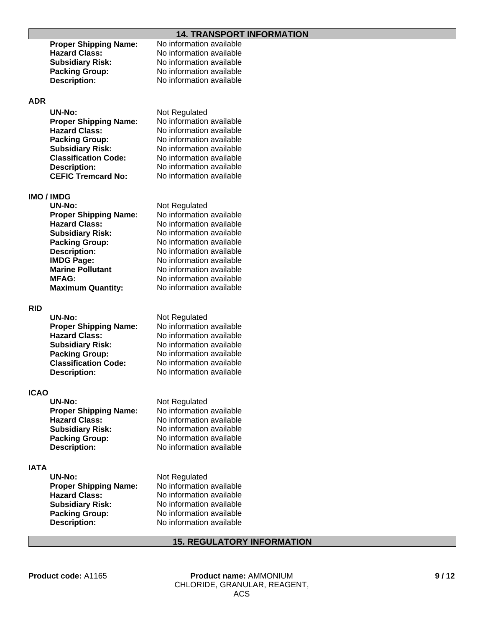# **14. TRANSPORT INFORMATION**

| <b>Proper Shipping Name:</b> | No information available |
|------------------------------|--------------------------|
| <b>Hazard Class:</b>         | No information available |
| <b>Subsidiary Risk:</b>      | No information available |
| <b>Packing Group:</b>        | No information available |
| <b>Description:</b>          | No information available |
|                              |                          |
|                              |                          |

### **ADR**

| <b>UN-No:</b>                | Not Regulated            |
|------------------------------|--------------------------|
| <b>Proper Shipping Name:</b> | No information available |
| <b>Hazard Class:</b>         | No information available |
| <b>Packing Group:</b>        | No information available |
| <b>Subsidiary Risk:</b>      | No information available |
| <b>Classification Code:</b>  | No information available |
| <b>Description:</b>          | No information available |
| <b>CEFIC Tremcard No:</b>    | No information available |

# **IMO / IMDG**

| <b>UN-No:</b>                | Not Regulated  |
|------------------------------|----------------|
| <b>Proper Shipping Name:</b> | No information |
| <b>Hazard Class:</b>         | No information |
| <b>Subsidiary Risk:</b>      | No information |
| <b>Packing Group:</b>        | No information |
| <b>Description:</b>          | No information |
| <b>IMDG Page:</b>            | No information |
| <b>Marine Pollutant</b>      | No information |
| <b>MFAG:</b>                 | No information |
| <b>Maximum Quantity:</b>     | No information |
|                              |                |

#### **RID**

| <b>UN-No:</b>                | Not F |
|------------------------------|-------|
| <b>Proper Shipping Name:</b> | No in |
| <b>Hazard Class:</b>         | No in |
| <b>Subsidiary Risk:</b>      | No in |
| <b>Packing Group:</b>        | No in |
| <b>Classification Code:</b>  | No in |
| <b>Description:</b>          | No in |
|                              |       |

#### **ICAO**

| UN-No:                       | Not Regulated  |
|------------------------------|----------------|
| <b>Proper Shipping Name:</b> | No information |
| <b>Hazard Class:</b>         | No information |
| <b>Subsidiary Risk:</b>      | No information |
| <b>Packing Group:</b>        | No information |
| <b>Description:</b>          | No information |

#### **IATA**

| <b>UN-No:</b>               |
|-----------------------------|
| <b>Proper Shipping Name</b> |
| <b>Hazard Class:</b>        |
| <b>Subsidiary Risk:</b>     |
| <b>Packing Group:</b>       |
| <b>Description:</b>         |
|                             |

**Proper Shipping Name:** No information available **Hazard Class:** No information available **Subsidiary Risk:** No information available **Pavailable** n available **n** available **Mariable n** available n available

### **Regulated**

*<u>formation</u>* available **Mormation available formation available** *<u>formation</u>* available **I**formation available *<u>I</u>* formation available

**Proper Bipping ion available ion available Packing**<br>ion available **jon** available

**Not Regulated Property**: No information available **Hazard Class:** No information available **Subsidiary Risk:** No information available **Packing Group:** No information available **No information available** 

# **15. REGULATORY INFORMATION**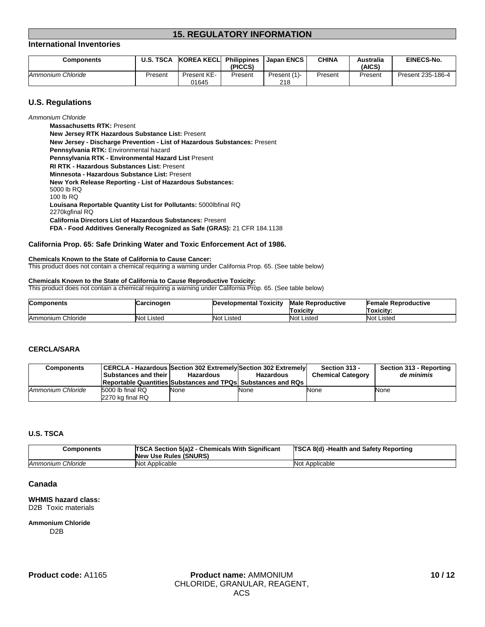# **15. REGULATORY INFORMATION**

#### **International Inventories**

| Components        | <b>U.S. TSCA</b> | <b>KOREA KECLI</b>   | <b>Philippines</b><br>(PICCS) | Japan ENCS         | CHINA   | Australia<br>(AICS <sup>)</sup> | <b>EINECS-No.</b> |
|-------------------|------------------|----------------------|-------------------------------|--------------------|---------|---------------------------------|-------------------|
| Ammonium Chloride | Present          | Present KE-<br>01645 | Present                       | Present (1)<br>218 | Present | Present                         | Present 235-186-4 |

#### **U.S. Regulations**

*Ammonium Chloride*

**Minnesota - Hazardous Substance List:** Present **New Jersey - Discharge Prevention - List of Hazardous Substances:** Present **New York Release Reporting - List of Hazardous Substances:** 5000 lb RQ 100 lb RQ **Louisana Reportable Quantity List for Pollutants:** 5000lbfinal RQ 2270kgfinal RQ **Pennsylvania RTK:** Environmental hazard **California Directors List of Hazardous Substances:** Present **FDA - Food Additives Generally Recognized as Safe (GRAS):** 21 CFR 184.1138 **Pennsylvania RTK - Environmental Hazard List** Present **New Jersey RTK Hazardous Substance List:** Present **RI RTK - Hazardous Substances List:** Present **Massachusetts RTK:** Present

#### **California Prop. 65: Safe Drinking Water and Toxic Enforcement Act of 1986.**

#### **Chemicals Known to the State of California to Cause Cancer:**

This product does not contain a chemical requiring a warning under California Prop. 65. (See table below)

#### **Chemicals Known to the State of California to Cause Reproductive Toxicity:**

This product does not contain a chemical requiring a warning under California Prop. 65. (See table below)

| <b>Components</b> | arcinogenٽ        | <b>Developmental Toxicity</b> | <b>Male Reproductive</b><br>Toxicitv | Female Reproductive<br>Toxicitv: |
|-------------------|-------------------|-------------------------------|--------------------------------------|----------------------------------|
| Ammonium Chloride | <b>Not Listed</b> | Not I<br>Listed               | 'Not<br>Listed                       | <b>Not</b><br>Listed             |

#### **CERCLA/SARA**

| <b>Components</b> | CERCLA - Hazardous Section 302 Extremely Section 302 Extremely<br>Substances and their<br><b>Reportable Quantities Substances and TPQs Substances and RQs</b> | Hazardous | <b>Hazardous</b> | Section 313 -<br><b>Chemical Category</b> | Section 313 - Reporting<br>de minimis |
|-------------------|---------------------------------------------------------------------------------------------------------------------------------------------------------------|-----------|------------------|-------------------------------------------|---------------------------------------|
| Ammonium Chloride | 5000 lb final RQ<br>2270 kg final RQ                                                                                                                          | None      | None             | None                                      | None                                  |

#### **U.S. TSCA**

| <b>Components</b> | <b>TSCA Section 5(a)2 - Chemicals With Significant</b><br><b>New Use Rules (SNURS)</b> | <b>TSCA 8(d) -Health and Safety Reporting</b> |
|-------------------|----------------------------------------------------------------------------------------|-----------------------------------------------|
| Ammonium Chloride | Not Applicable                                                                         | Not Applicable                                |

#### **Canada**

#### **WHMIS hazard class:** D2B Toxic materials

# **Ammonium Chloride**

D2B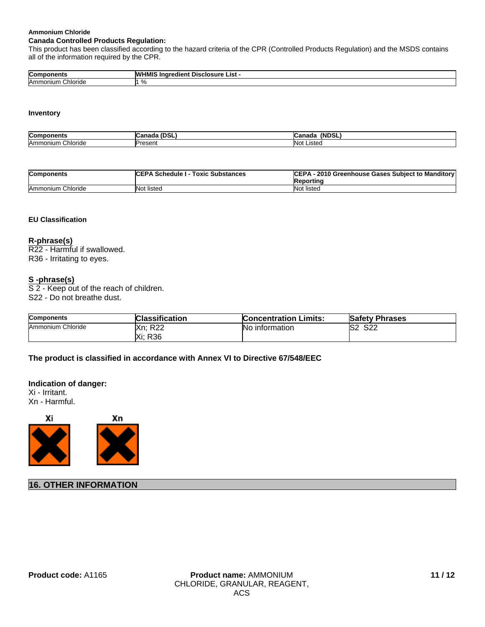#### **Ammonium Chloride**

### **Canada Controlled Products Regulation:**

This product has been classified according to the hazard criteria of the CPR (Controlled Products Regulation) and the MSDS contains all of the information required by the CPR.

| Cor<br>-                | sclosure<br>List<br><br>. . |
|-------------------------|-----------------------------|
| `hloride<br>Amr<br>າແມກ |                             |

#### **Inventory**

| Com<br>nem:               | - - -<br>          | $\cdots$<br>ופח<br>،N۴<br>anauc |
|---------------------------|--------------------|---------------------------------|
| --<br>Amm<br>loride<br>uu | Dracant<br>ו סספות | Listed<br>lN∩t                  |

| <b>Components</b> | <b>ICEPA Schedule I - Toxic Substances</b> | CEPA - 2010 Greenhouse Gases Subject to Manditory<br>Reporting |
|-------------------|--------------------------------------------|----------------------------------------------------------------|
| Ammonium Chloride | <b>Not listed</b>                          | Not listed                                                     |

#### **EU Classification**

**R-phrase(s)** R22 - Harmful if swallowed. R36 - Irritating to eyes.

# **S -phrase(s)**

S 2 - Keep out of the reach of children. S22 - Do not breathe dust.

| <b>Components</b> | <b>Classification</b> | <b>Concentration Limits:</b> | <b>Safety Phrases</b> |
|-------------------|-----------------------|------------------------------|-----------------------|
| Ammonium Chloride | <b>Xn: R22</b>        | <b>No</b> information        | <b>S22</b><br>lS2     |
|                   | Xi: R36               |                              |                       |

**The product is classified in accordance with Annex VI to Directive 67/548/EEC**

#### **Indication of danger:**

Xi - Irritant. Xn - Harmful.



# **16. OTHER INFORMATION**